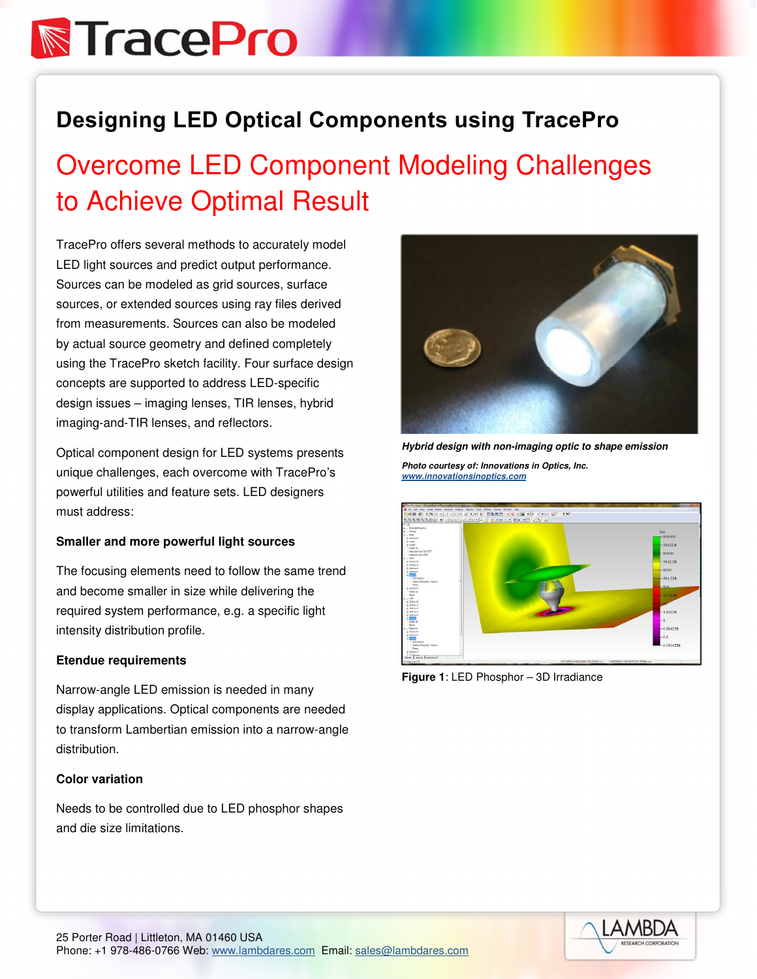## **N**TracePro

### Designing LED Optical Components using TracePro

### Overcome LED Component Modeling Challenges to Achieve Optimal Result

TracePro offers several methods to accurately model LED light sources and predict output performance. Sources can be modeled as grid sources, surface sources, or extended sources using ray files derived from measurements. Sources can also be modeled by actual source geometry and defined completely using the TracePro sketch facility. Four surface design concepts are supported to address LED-specific design issues – imaging lenses, TIR lenses, hybrid imaging-and-TIR lenses, and reflectors.

Optical component design for LED systems presents unique challenges, each overcome with TracePro's powerful utilities and feature sets. LED designers must address:

#### **Smaller and more powerful light sources**

The focusing elements need to follow the same trend and become smaller in size while delivering the required system performance, e.g. a specific light intensity distribution profile.

#### **Etendue requirements**

Narrow-angle LED emission is needed in many display applications. Optical components are needed to transform Lambertian emission into a narrow-angle distribution.

#### **Color variation**

Needs to be controlled due to LED phosphor shapes and die size limitations.



**Hybrid design with non-imaging optic to shape emission** 

**Photo courtesy of: Innovations in Optics, Inc. www.innovationsinoptics.com** 



**Figure 1**: LED Phosphor – 3D Irradiance